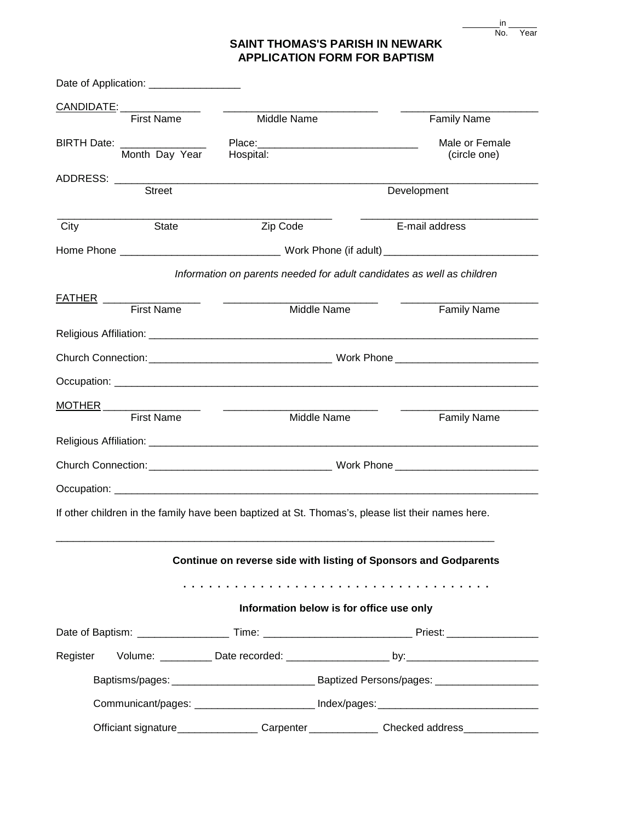| ın  |      |
|-----|------|
| No. | Year |

## **SAINT THOMAS'S PARISH IN NEWARK APPLICATION FORM FOR BAPTISM**

|                     | Date of Application: __________________                 |                                                                                                                                                                                                                                      |                                          |                                                                                                      |  |
|---------------------|---------------------------------------------------------|--------------------------------------------------------------------------------------------------------------------------------------------------------------------------------------------------------------------------------------|------------------------------------------|------------------------------------------------------------------------------------------------------|--|
|                     | <u>CANDIDATE: ________________</u><br><b>First Name</b> | Middle Name                                                                                                                                                                                                                          |                                          | <b>Family Name</b>                                                                                   |  |
|                     |                                                         |                                                                                                                                                                                                                                      |                                          |                                                                                                      |  |
|                     | BIRTH Date: ________________<br>Month Day Year          | Hospital:                                                                                                                                                                                                                            |                                          | Male or Female                                                                                       |  |
|                     |                                                         |                                                                                                                                                                                                                                      |                                          | (circle one)                                                                                         |  |
|                     |                                                         |                                                                                                                                                                                                                                      |                                          |                                                                                                      |  |
|                     | <b>Street</b>                                           |                                                                                                                                                                                                                                      | Development                              |                                                                                                      |  |
| City                | <b>State</b>                                            | Zip Code                                                                                                                                                                                                                             |                                          | E-mail address                                                                                       |  |
|                     |                                                         |                                                                                                                                                                                                                                      |                                          |                                                                                                      |  |
|                     |                                                         |                                                                                                                                                                                                                                      |                                          | Information on parents needed for adult candidates as well as children                               |  |
| $PATHER$            |                                                         | <u> 1980 - Jan Stein Harry Stein Harry Stein Harry Stein Harry Stein Harry Stein Harry Stein Harry Stein Harry Stein Harry Stein Harry Stein Harry Stein Harry Stein Harry Stein Harry Stein Harry Stein Harry Stein Harry Stein</u> |                                          |                                                                                                      |  |
|                     | First Name                                              |                                                                                                                                                                                                                                      | Middle Name                              | <b>Family Name</b>                                                                                   |  |
|                     |                                                         |                                                                                                                                                                                                                                      |                                          |                                                                                                      |  |
|                     |                                                         |                                                                                                                                                                                                                                      |                                          |                                                                                                      |  |
|                     |                                                         |                                                                                                                                                                                                                                      |                                          |                                                                                                      |  |
| <u>MOTHER</u> _____ |                                                         |                                                                                                                                                                                                                                      |                                          |                                                                                                      |  |
|                     | <b>First Name</b>                                       |                                                                                                                                                                                                                                      | Middle Name                              | <b>Family Name</b>                                                                                   |  |
|                     |                                                         |                                                                                                                                                                                                                                      |                                          |                                                                                                      |  |
|                     |                                                         |                                                                                                                                                                                                                                      |                                          |                                                                                                      |  |
|                     |                                                         |                                                                                                                                                                                                                                      |                                          |                                                                                                      |  |
|                     |                                                         | If other children in the family have been baptized at St. Thomas's, please list their names here.                                                                                                                                    |                                          |                                                                                                      |  |
|                     |                                                         |                                                                                                                                                                                                                                      |                                          | Continue on reverse side with listing of Sponsors and Godparents                                     |  |
|                     |                                                         |                                                                                                                                                                                                                                      |                                          |                                                                                                      |  |
|                     |                                                         |                                                                                                                                                                                                                                      | Information below is for office use only |                                                                                                      |  |
|                     |                                                         |                                                                                                                                                                                                                                      |                                          |                                                                                                      |  |
|                     |                                                         |                                                                                                                                                                                                                                      |                                          |                                                                                                      |  |
|                     |                                                         |                                                                                                                                                                                                                                      |                                          |                                                                                                      |  |
|                     |                                                         |                                                                                                                                                                                                                                      |                                          | Communicant/pages: _________________________ Index/pages: ______________________                     |  |
|                     |                                                         |                                                                                                                                                                                                                                      |                                          | Officiant signature__________________Carpenter______________Checked address_________________________ |  |